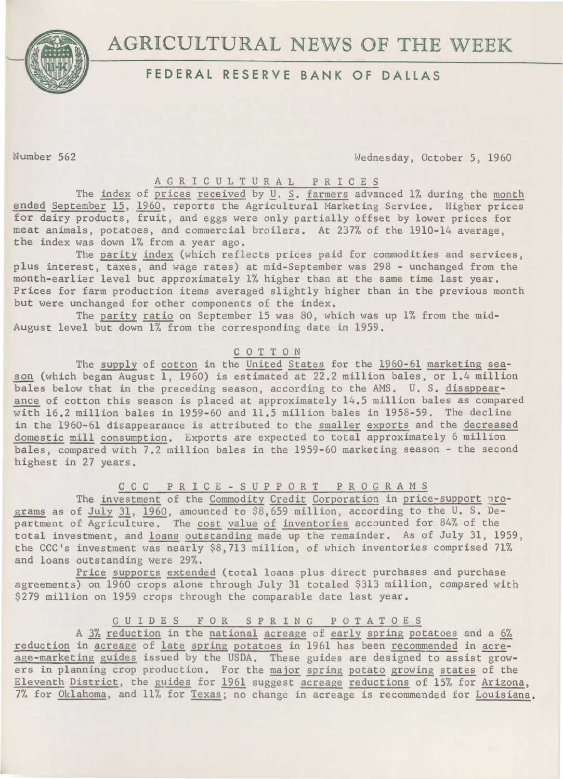# AGRICULTURAL NEWS OF THE WEEK



# **FEDERAL RESERVE BANK OF DALLAS**

Number 562 Wednesday, October 5, 1960

## A G R I C U L T U R A L P R I C E S

The index of prices received by *U. S.* farmers advanced 1% during the month ended September 15, 1960, reports the Agricultural Marketing Service. Higher prices for dairy products, fruit, and eggs were only partially offset by lower prices for meat animals, potatoes, and commercial broilers. At 237% of the 1910-14 average, the index was down 1% from a year ago.

The parity index (which reflects prices paid for commodities and services, plus interest, taxes, and wage rates) at mid-September was 298 - unchanged from the month-earlier level but approximately 1% higher than at the same time last year. Prices for farm production items averaged slightly higher than in the previous month but were unchanged for other components of the index.

The parity ratio on September 15 was 80, which was up 1% from the mid-August level but down 1% from the corresponding date in 1959.

### C 0 T T 0 N

The supply of cotton in the United States for the 1960-61 marketing season (which began August 1, 1960) is estimated at 22.2 million bales, or 1.4 million bales below that in the preceding season, according to the AMS. U. S. disappear ance of cotton this season is placed at approximately 14.5 million bales as compared with 16.2 million bales in 1959-60 and 11.5 million bales in 1958-59. The decline in the 1960-61 disappearance is attributed to the smaller exports and the decreased domestic mill consumption. Exports are expected to total approximately 6 million bales, compared with 7.2 million bales in the 1959-60 marketing season - the second highest in 27 years.

### c c c P R I C E - S U P P 0 R T P R 0 G R A M S

The investment of the Commodity Credit Corporation in price-support programs as of July 31, 1960, amounted to \$8,659 million, according to the U. S. Department of Agriculture. The cost value of inventories accounted for 84% of the total investment, and loans outstanding made up the remainder. As of July 31, 1959, the CCC's investment was nearly \$8,713 million, of which inventories comprised 71% and loans outstanding were 29%.

Price supports extended (total loans plus direct purchases and purchase agreements) on 1960 crops alone through July 31 totaled \$313 million, compared with \$279 million on 1959 crops through the comparable date last year.

## G U I D E S F 0 R SPRING POTATOES

A 3% reduction in the national acreage of early spring potatoes and a 6% reduction in acreage of late spring potatoes in 1961 has been recommended in acreage-marketing guides issued by the USDA. These guides are designed to assist growers in planning crop production. For the major spring potato growing states of the Eleventh District, the guides for 1961 suggest acreage reductions of 15% for Arizona, 7% for Oklahoma, and 11% for Texas; no change in acreage is recommended for Louisiana.